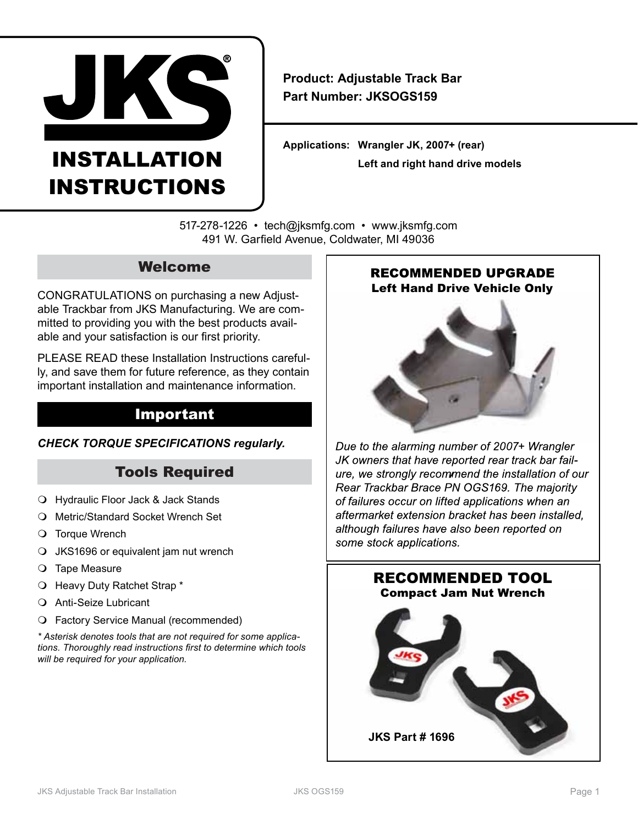

# INSTALLATION INSTRUCTIONS

**Product: Adjustable Track Bar Part Number: JKSOGS159**

**Applications: Wrangler JK, 2007+ (rear) Left and right hand drive models**

517-278-1226 • tech@jksmfg.com • www.jksmfg.com 491 W. Garfield Avenue, Coldwater, MI 49036

# Welcome

CONGRATULATIONS on purchasing a new Adjustable Trackbar from JKS Manufacturing. We are committed to providing you with the best products available and your satisfaction is our first priority.

PLEASE READ these Installation Instructions carefully, and save them for future reference, as they contain important installation and maintenance information.

# Important

#### *CHECK TORQUE SPECIFICATIONS regularly.*

# Tools Required

- Hydraulic Floor Jack & Jack Stands
- O Metric/Standard Socket Wrench Set
- O Torque Wrench
- JKS1696 or equivalent jam nut wrench
- O Tape Measure
- Heavy Duty Ratchet Strap \*
- Anti-Seize Lubricant
- Factory Service Manual (recommended)

*\* Asterisk denotes tools that are not required for some applications. Thoroughly read instructions first to determine which tools will be required for your application.*

## **RECOMMENDED UPGRADE** Left Hand Drive Vehicle Only



Due to the alarming number of 2007+ Wrangler JK owners that have reported rear track bar failure, we strongly recommend the installation of our Rear Trackbar Brace PN OGS169. The majority of failures occur on lifted applications when an aftermarket extension bracket has been installed. although failures have also been reported on some stock applications.

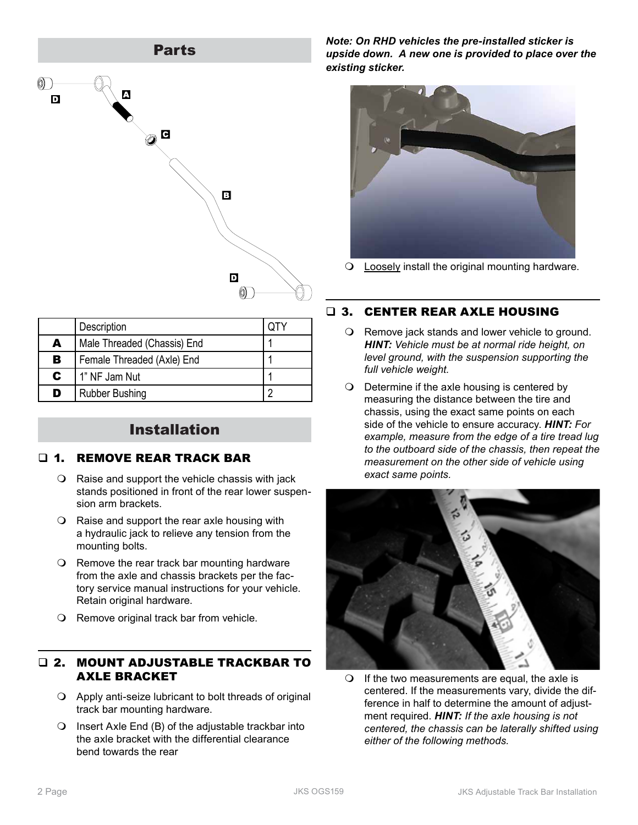

|   | Description                 |  |
|---|-----------------------------|--|
| A | Male Threaded (Chassis) End |  |
| в | Female Threaded (Axle) End  |  |
| C | 1" NF Jam Nut               |  |
| D | <b>Rubber Bushing</b>       |  |

# Installation

#### **1. REMOVE REAR TRACK BAR**

- Raise and support the vehicle chassis with jack stands positioned in front of the rear lower suspension arm brackets.
- Raise and support the rear axle housing with a hydraulic jack to relieve any tension from the mounting bolts.
- $\Omega$  Remove the rear track bar mounting hardware from the axle and chassis brackets per the factory service manual instructions for your vehicle. Retain original hardware.
- O Remove original track bar from vehicle.

#### 2. MOUNT ADJUSTABLE TRACKBAR TO AXLE BRACKET

- Apply anti-seize lubricant to bolt threads of original track bar mounting hardware.
- $\bigcirc$  Insert Axle End (B) of the adjustable trackbar into the axle bracket with the differential clearance bend towards the rear

*Note: On RHD vehicles the pre-installed sticker is upside down. A new one is provided to place over the existing sticker.*



Loosely install the original mounting hardware.

## 3. CENTER REAR AXLE HOUSING

- O Remove jack stands and lower vehicle to ground. *HINT: Vehicle must be at normal ride height, on level ground, with the suspension supporting the full vehicle weight.*
- $\bigcirc$  Determine if the axle housing is centered by measuring the distance between the tire and chassis, using the exact same points on each side of the vehicle to ensure accuracy. *HINT: For example, measure from the edge of a tire tread lug to the outboard side of the chassis, then repeat the measurement on the other side of vehicle using exact same points.*



 $\bigcirc$  If the two measurements are equal, the axle is centered. If the measurements vary, divide the difference in half to determine the amount of adjustment required. *HINT: If the axle housing is not centered, the chassis can be laterally shifted using either of the following methods.*